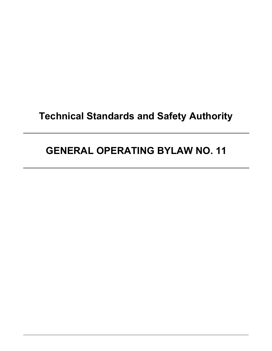# **Technical Standards and Safety Authority**

# **GENERAL OPERATING BYLAW NO. 11**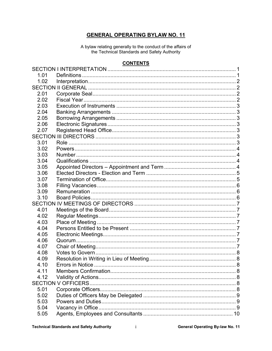# **GENERAL OPERATING BYLAW NO. 11**

A bylaw relating generally to the conduct of the affairs of the Technical Standards and Safety Authority

# **CONTENTS**

| Errors in Notice<br>- 8 |                           |  |  |  |
|-------------------------|---------------------------|--|--|--|
|                         |                           |  |  |  |
|                         |                           |  |  |  |
|                         |                           |  |  |  |
|                         |                           |  |  |  |
|                         |                           |  |  |  |
|                         |                           |  |  |  |
|                         |                           |  |  |  |
|                         |                           |  |  |  |
|                         | <b>SECTION V OFFICERS</b> |  |  |  |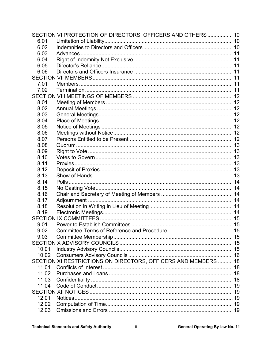|       | SECTION VI PROTECTION OF DIRECTORS, OFFICERS AND OTHERS  10    |  |
|-------|----------------------------------------------------------------|--|
| 6.01  |                                                                |  |
| 6.02  |                                                                |  |
| 6.03  |                                                                |  |
| 6.04  |                                                                |  |
| 6.05  |                                                                |  |
| 6.06  |                                                                |  |
|       |                                                                |  |
| 7.01  |                                                                |  |
| 7.02  |                                                                |  |
|       |                                                                |  |
| 8.01  |                                                                |  |
| 8.02  |                                                                |  |
| 8.03  |                                                                |  |
| 8.04  |                                                                |  |
| 8.05  |                                                                |  |
| 8.06  |                                                                |  |
| 8.07  |                                                                |  |
| 8.08  |                                                                |  |
| 8.09  |                                                                |  |
| 8.10  |                                                                |  |
| 8.11  |                                                                |  |
| 8.12  |                                                                |  |
| 8.13  |                                                                |  |
| 8.14  |                                                                |  |
| 8.15  |                                                                |  |
| 8.16  |                                                                |  |
| 8.17  |                                                                |  |
| 8.18  |                                                                |  |
| 8.19  |                                                                |  |
|       |                                                                |  |
| 9.01  |                                                                |  |
| 9.02  |                                                                |  |
| 9.03  |                                                                |  |
|       |                                                                |  |
| 10.01 |                                                                |  |
| 10.02 |                                                                |  |
|       | SECTION XI RESTRICTIONS ON DIRECTORS, OFFICERS AND MEMBERS  18 |  |
| 11.01 |                                                                |  |
| 11.02 |                                                                |  |
| 11.03 |                                                                |  |
| 11.04 |                                                                |  |
|       |                                                                |  |
| 12.01 | Notices                                                        |  |
| 12.02 |                                                                |  |
| 12.03 |                                                                |  |
|       |                                                                |  |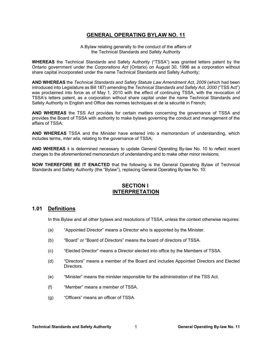# **GENERAL OPERATING BYLAW NO. 11**

A Bylaw relating generally to the conduct of the affairs of the Technical Standards and Safety Authority

**WHEREAS** the Technical Standards and Safety Authority ("TSSA") was granted letters patent by the Ontario government under the *Corporations Act* (Ontario) on August 30, 1996 as a corporation without share capital incorporated under the name Technical Standards and Safety Authority;

**AND WHEREAS** the *Technical Standards and Safety Statute Law Amendment Act, 2009* (which had been introduced into Legislature as Bill 187) amending the *Technical Standards and Safety Act, 2000* ("TSS Act") was proclaimed into force as of May 1, 2010 with the effect of continuing TSSA, with the revocation of TSSA's letters patent, as a corporation without share capital under the name Technical Standards and Safety Authority in English and Office des normes techniques et de la sécurité in French;

**AND WHEREAS** the TSS Act provides for certain matters concerning the governance of TSSA and provides the Board of TSSA with authority to make bylaws governing the conduct and management of the affairs of TSSA;

**AND WHEREAS** TSSA and the Minister have entered into a memorandum of understanding, which includes terms, *inter alia*, relating to the governance of TSSA;

**AND WHEREAS** it is determined necessary to update General Operating By-law No. 10 to reflect recent changes to the aforementioned memorandum of understanding and to make other minor revisions;

**NOW THEREFORE BE IT ENACTED** that the following is the General Operating Bylaw of Technical Standards and Safety Authority (the "Bylaw"), replacing General Operating By-law No. 10:

# **SECTION I INTERPRETATION**

#### **1.01 Definitions**

In this Bylaw and all other bylaws and resolutions of TSSA, unless the context otherwise requires:

- (a) "Appointed Director" means a Director who is appointed by the Minister.
- (b) "Board" or "Board of Directors" means the board of directors of TSSA.
- (c) "Elected Director" means a Director elected into office by the Members of TSSA.
- (d) "Directors" means a member of the Board and includes Appointed Directors and Elected Directors.
- (e) "Minister" means the minister responsible for the administration of the TSS Act.
- (f) "Member" means a member of TSSA.
- (g) "Officers" means an officer of TSSA.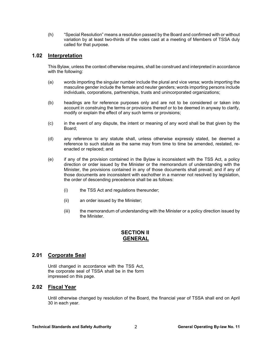(h) "Special Resolution" means a resolution passed by the Board and confirmed with or without variation by at least two-thirds of the votes cast at a meeting of Members of TSSA duly called for that purpose.

# **1.02 Interpretation**

This Bylaw, unless the context otherwise requires, shall be construed and interpreted in accordance with the following:

- (a) words importing the singular number include the plural and vice versa; words importing the masculine gender include the female and neuter genders; words importing persons include individuals, corporations, partnerships, trusts and unincorporated organizations;
- (b) headings are for reference purposes only and are not to be considered or taken into account in construing the terms or provisions thereof or to be deemed in anyway to clarify, modify or explain the effect of any such terms or provisions;
- (c) in the event of any dispute, the intent or meaning of any word shall be that given by the Board;
- (d) any reference to any statute shall, unless otherwise expressly stated, be deemed a reference to such statute as the same may from time to time be amended, restated, reenacted or replaced; and
- (e) if any of the provision contained in the Bylaw is inconsistent with the TSS Act, a policy direction or order issued by the Minister or the memorandum of understanding with the Minister, the provisions contained in any of those documents shall prevail; and if any of those documents are inconsistent with eachother in a manner not resolved by legislation, the order of descending precedence shall be as follows:
	- (i) the TSS Act and regulations thereunder;
	- (ii) an order issued by the Minister;
	- (iii) the memorandum of understanding with the Minister or a policy direction issued by the Minister.

# **SECTION II GENERAL**

# **2.01 Corporate Seal**

Until changed in accordance with the TSS Act, the corporate seal of TSSA shall be in the form impressed on this page.

# **2.02 Fiscal Year**

Until otherwise changed by resolution of the Board, the financial year of TSSA shall end on April 30 in each year.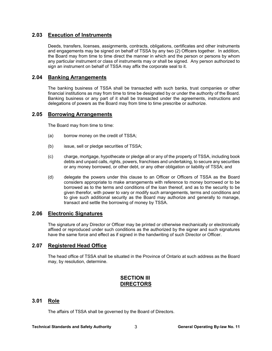# **2.03 Execution of Instruments**

Deeds, transfers, licenses, assignments, contracts, obligations, certificates and other instruments and engagements may be signed on behalf of TSSA by any two (2) Officers together. In addition, the Board may from time to time direct the manner in which and the person or persons by whom any particular instrument or class of instruments may or shall be signed. Any person authorized to sign an instrument on behalf of TSSA may affix the corporate seal to it.

# **2.04 Banking Arrangements**

The banking business of TSSA shall be transacted with such banks, trust companies or other financial institutions as may from time to time be designated by or under the authority of the Board. Banking business or any part of it shall be transacted under the agreements, instructions and delegations of powers as the Board may from time to time prescribe or authorize.

# **2.05 Borrowing Arrangements**

The Board may from time to time:

- (a) borrow money on the credit of TSSA;
- (b) issue, sell or pledge securities of TSSA;
- (c) charge, mortgage, hypothecate or pledge all or any of the property of TSSA, including book debts and unpaid calls, rights, powers, franchises and undertaking, to secure any securities or any money borrowed, or other debt, or any other obligation or liability of TSSA; and
- (d) delegate the powers under this clause to an Officer or Officers of TSSA as the Board considers appropriate to make arrangements with reference to money borrowed or to be borrowed as to the terms and conditions of the loan thereof, and as to the security to be given therefor, with power to vary or modify such arrangements, terms and conditions and to give such additional security as the Board may authorize and generally to manage, transact and settle the borrowing of money by TSSA.

# **2.06 Electronic Signatures**

The signature of any Director or Officer may be printed or otherwise mechanically or electronically affixed or reproduced under such conditions as the authorized by the signer and such signatures have the same force and effect as if signed in the handwriting of such Director or Officer.

# **2.07 Registered Head Office**

The head office of TSSA shall be situated in the Province of Ontario at such address as the Board may, by resolution, determine.

# **SECTION III DIRECTORS**

# **3.01 Role**

The affairs of TSSA shall be governed by the Board of Directors.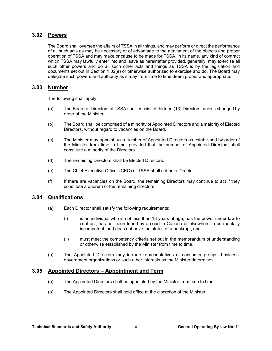## **3.02 Powers**

The Board shall oversee the affairs of TSSA in all things, and may perform or direct the performance of all such acts as may be necessary or of advantage to the attainment of the objects and proper operation of TSSA and may make or cause to be made for TSSA, in its name, any kind of contract which TSSA may lawfully enter into and, save as hereinafter provided, generally, may exercise all such other powers and do all such other acts and things as TSSA is by the legislation and documents set out in Section 1.02(e) or otherwise authorized to exercise and do. The Board may delegate such powers and authority as it may from time to time deem proper and appropriate.

# **3.03 Number**

The following shall apply:

- (a) The Board of Directors of TSSA shall consist of thirteen (13) Directors, unless changed by order of the Minister.
- (b) The Board shall be comprised of a minority of Appointed Directors and a majority of Elected Directors, without regard to vacancies on the Board.
- (c) The Minister may appoint such number of Appointed Directors as established by order of the Minister from time to time, provided that the number of Appointed Directors shall constitute a minority of the Directors.
- (d) The remaining Directors shall be Elected Directors.
- (e) The Chief Executive Officer (CEO) of TSSA shall not be a Director.
- (f) If there are vacancies on the Board, the remaining Directors may continue to act if they constitute a quorum of the remaining directors.

# **3.04 Qualifications**

- (a) Each Director shall satisfy the following requirements:
	- (i) is an individual who is not less than 18 years of age, has the power under law to contract, has not been found by a court in Canada or elsewhere to be mentally incompetent, and does not have the status of a bankrupt; and
	- (ii) must meet the competency criteria set out in the memorandum of understanding or otherwise established by the Minister from time to time.
- (b) The Appointed Directors may include representatives of consumer groups, business, government organizations or such other interests as the Minister determines.

#### **3.05 Appointed Directors – Appointment and Term**

- (a) The Appointed Directors shall be appointed by the Minister from time to time.
- (b) The Appointed Directors shall hold office at the discretion of the Minister.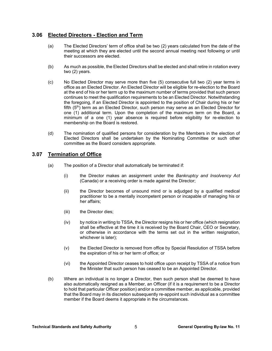# **3.06 Elected Directors - Election and Term**

- (a) The Elected Directors' term of office shall be two (2) years calculated from the date of the meeting at which they are elected until the second annual meeting next following or until their successors are elected.
- (b) As much as possible, the Elected Directors shall be elected and shall retire in rotation every two (2) years.
- (c) No Elected Director may serve more than five (5) consecutive full two (2) year terms in office as an Elected Director. An Elected Director will be eligible for re-election to the Board at the end of his or her term up to the maximum number of terms provided that such person continues to meet the qualification requirements to be an Elected Director. Notwithstanding the foregoing, if an Elected Director is appointed to the position of Chair during his or her fifth (5<sup>th</sup>) term as an Elected Director, such person may serve as an Elected Director for one (1) additional term. Upon the completion of the maximum term on the Board, a minimum of a one (1) year absence is required before eligibility for re-election to membership on the Board is restored.
- (d) The nomination of qualified persons for consideration by the Members in the election of Elected Directors shall be undertaken by the Nominating Committee or such other committee as the Board considers appropriate.

# **3.07 Termination of Office**

- (a) The position of a Director shall automatically be terminated if:
	- (i) the Director makes an assignment under the *Bankruptcy and Insolvency Act* (Canada) or a receiving order is made against the Director;
	- (ii) the Director becomes of unsound mind or is adjudged by a qualified medical practitioner to be a mentally incompetent person or incapable of managing his or her affairs;
	- (iii) the Director dies;
	- (iv) by notice in writing to TSSA, the Director resigns his or her office (which resignation shall be effective at the time it is received by the Board Chair, CEO or Secretary, or otherwise in accordance with the terms set out in the written resignation, whichever is later);
	- (v) the Elected Director is removed from office by Special Resolution of TSSA before the expiration of his or her term of office; or
	- (vi) the Appointed Director ceases to hold office upon receipt by TSSA of a notice from the Minister that such person has ceased to be an Appointed Director.
- (b) Where an individual is no longer a Director, then such person shall be deemed to have also automatically resigned as a Member, an Officer (if it is a requirement to be a Director to hold that particular Officer position) and/or a committee member, as applicable, provided that the Board may in its discretion subsequently re-appoint such individual as a committee member if the Board deems it appropriate in the circumstances.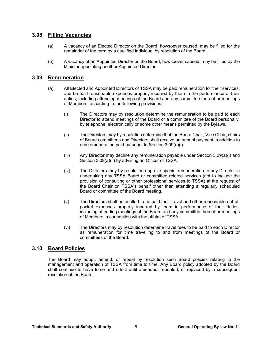# **3.08 Filling Vacancies**

- (a) A vacancy of an Elected Director on the Board, howsoever caused, may be filled for the remainder of the term by a qualified individual by resolution of the Board.
- (b) A vacancy of an Appointed Director on the Board, howsoever caused, may be filled by the Minister appointing another Appointed Director.

# **3.09 Remuneration**

- (a) All Elected and Appointed Directors of TSSA may be paid remuneration for their services, and be paid reasonable expenses properly incurred by them in the performance of their duties, including attending meetings of the Board and any committee thereof or meetings of Members, according to the following provisions:
	- (i) The Directors may by resolution determine the remuneration to be paid to each Director to attend meetings of the Board or a committee of the Board personally, by telephone, electronically or some other means permitted by the Bylaws.
	- (ii) The Directors may by resolution determine that the Board Chair, Vice Chair, chairs of Board committees and Directors shall receive an annual payment in addition to any remuneration paid pursuant to Section 3.09(a)(i).
	- (iii) Any Director may decline any remuneration payable under Section 3.09(a)(i) and Section 3.09(a)(ii) by advising an Officer of TSSA.
	- (iv) The Directors may by resolution approve special remuneration to any Director in undertaking any TSSA Board or committee related services (not to include the provision of consulting or other professional services to TSSA) at the request of the Board Chair on TSSA's behalf other than attending a regularly scheduled Board or committee of the Board meeting.
	- (v) The Directors shall be entitled to be paid their travel and other reasonable out-ofpocket expenses properly incurred by them in performance of their duties, including attending meetings of the Board and any committee thereof or meetings of Members in connection with the affairs of TSSA.
	- (vi) The Directors may by resolution determine travel fees to be paid to each Director as remuneration for time travelling to and from meetings of the Board or committees of the Board.

# **3.10 Board Policies**

The Board may adopt, amend, or repeal by resolution such Board policies relating to the management and operation of TSSA from time to time. Any Board policy adopted by the Board shall continue to have force and effect until amended, repealed, or replaced by a subsequent resolution of the Board.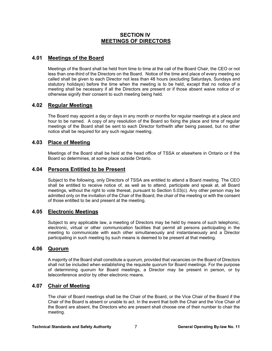# **SECTION IV MEETINGS OF DIRECTORS**

# **4.01 Meetings of the Board**

Meetings of the Board shall be held from time to time at the call of the Board Chair, the CEO or not less than one-third of the Directors on the Board. Notice of the time and place of every meeting so called shall be given to each Director not less than 48 hours (excluding Saturdays, Sundays and statutory holidays) before the time when the meeting is to be held, except that no notice of a meeting shall be necessary if all the Directors are present or if those absent waive notice of or otherwise signify their consent to such meeting being held.

# **4.02 Regular Meetings**

The Board may appoint a day or days in any month or months for regular meetings at a place and hour to be named. A copy of any resolution of the Board so fixing the place and time of regular meetings of the Board shall be sent to each Director forthwith after being passed, but no other notice shall be required for any such regular meeting.

# **4.03 Place of Meeting**

Meetings of the Board shall be held at the head office of TSSA or elsewhere in Ontario or if the Board so determines, at some place outside Ontario.

# **4.04 Persons Entitled to be Present**

Subject to the following, only Directors of TSSA are entitled to attend a Board meeting. The CEO shall be entitled to receive notice of, as well as to attend, participate and speak at, all Board meetings, without the right to vote thereat, pursuant to Section 5.03(c). Any other person may be admitted only on the invitation of the Chair of the Board, the chair of the meeting or with the consent of those entitled to be and present at the meeting.

# **4.05 Electronic Meetings**

Subject to any applicable law, a meeting of Directors may be held by means of such telephonic, electronic, virtual or other communication facilities that permit all persons participating in the meeting to communicate with each other simultaneously and instantaneously and a Director participating in such meeting by such means is deemed to be present at that meeting.

## **4.06 Quorum**

A majority of the Board shall constitute a quorum, provided that vacancies on the Board of Directors shall not be included when establishing the requisite quorum for Board meetings. For the purpose of determining quorum for Board meetings, a Director may be present in person, or by teleconference and/or by other electronic means.

# **4.07 Chair of Meeting**

The chair of Board meetings shall be the Chair of the Board, or the Vice Chair of the Board if the Chair of the Board is absent or unable to act. In the event that both the Chair and the Vice Chair of the Board are absent, the Directors who are present shall choose one of their number to chair the meeting.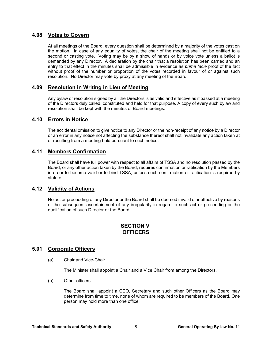# **4.08 Votes to Govern**

At all meetings of the Board, every question shall be determined by a majority of the votes cast on the motion. In case of any equality of votes, the chair of the meeting shall not be entitled to a second or casting vote. Voting may be by a show of hands or by voice vote unless a ballot is demanded by any Director. A declaration by the chair that a resolution has been carried and an entry to that effect in the minutes shall be admissible in evidence as *prima facie* proof of the fact without proof of the number or proportion of the votes recorded in favour of or against such resolution. No Director may vote by proxy at any meeting of the Board.

# **4.09 Resolution in Writing in Lieu of Meeting**

Any bylaw or resolution signed by all the Directors is as valid and effective as if passed at a meeting of the Directors duly called, constituted and held for that purpose. A copy of every such bylaw and resolution shall be kept with the minutes of Board meetings.

# **4.10 Errors in Notice**

The accidental omission to give notice to any Director or the non-receipt of any notice by a Director or an error in any notice not affecting the substance thereof shall not invalidate any action taken at or resulting from a meeting held pursuant to such notice.

# **4.11 Members Confirmation**

The Board shall have full power with respect to all affairs of TSSA and no resolution passed by the Board, or any other action taken by the Board, requires confirmation or ratification by the Members in order to become valid or to bind TSSA, unless such confirmation or ratification is required by statute.

# **4.12 Validity of Actions**

No act or proceeding of any Director or the Board shall be deemed invalid or ineffective by reasons of the subsequent ascertainment of any irregularity in regard to such act or proceeding or the qualification of such Director or the Board.

# **SECTION V OFFICERS**

# **5.01 Corporate Officers**

(a) Chair and Vice-Chair

The Minister shall appoint a Chair and a Vice Chair from among the Directors.

(b) Other officers

The Board shall appoint a CEO, Secretary and such other Officers as the Board may determine from time to time, none of whom are required to be members of the Board. One person may hold more than one office.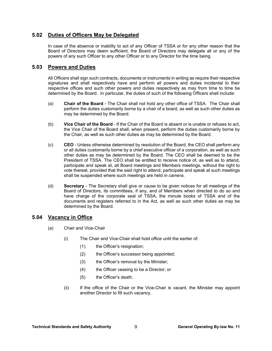# **5.02 Duties of Officers May be Delegated**

In case of the absence or inability to act of any Officer of TSSA or for any other reason that the Board of Directors may deem sufficient, the Board of Directors may delegate all or any of the powers of any such Officer to any other Officer or to any Director for the time being.

# **5.03 Powers and Duties**

All Officers shall sign such contracts, documents or instruments in writing as require their respective signatures and shall respectively have and perform all powers and duties incidental to their respective offices and such other powers and duties respectively as may from time to time be determined by the Board. In particular, the duties of such of the following Officers shall include:

- (a) **Chair of the Board** The Chair shall not hold any other office of TSSA. The Chair shall perform the duties customarily borne by a chair of a board, as well as such other duties as may be determined by the Board.
- (b) **Vice Chair of the Board** If the Chair of the Board is absent or is unable or refuses to act, the Vice Chair of the Board shall, when present, perform the duties customarily borne by the Chair, as well as such other duties as may be determined by the Board.
- (c) **CEO** Unless otherwise determined by resolution of the Board, the CEO shall perform any or all duties customarily borne by a chief executive officer of a corporation, as well as such other duties as may be determined by the Board. The CEO shall be deemed to be the President of TSSA. The CEO shall be entitled to receive notice of, as well as to attend, participate and speak at, all Board meetings and Members meetings, without the right to vote thereat, provided that the said right to attend, participate and speak at such meetings shall be suspended where such meetings are held *in camera*.
- (d) **Secretary** The Secretary shall give or cause to be given notices for all meetings of the Board of Directors, its committees, if any, and of Members when directed to do so and have charge of the corporate seal of TSSA, the minute books of TSSA and of the documents and registers referred to in the Act, as well as such other duties as may be determined by the Board.

# **5.04 Vacancy in Office**

- (a) Chair and Vice-Chair
	- (i) The Chair and Vice-Chair shall hold office until the earlier of:
		- (1) the Officer's resignation;
		- (2) the Officer's successor being appointed;
		- (3) the Officer's removal by the Minister;
		- (4) the Officer ceasing to be a Director; or
		- (5) the Officer's death.
	- (ii) If the office of the Chair or the Vice-Chair is vacant, the Minister may appoint another Director to fill such vacancy.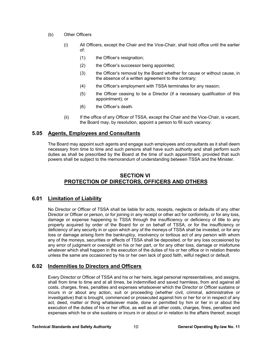- (b) Other Officers
	- (i) All Officers, except the Chair and the Vice-Chair, shall hold office until the earlier of:
		- (1) the Officer's resignation;
		- (2) the Officer's successor being appointed;
		- (3) the Officer's removal by the Board whether for cause or without cause, in the absence of a written agreement to the contrary;
		- (4) the Officer's employment with TSSA terminates for any reason;
		- (5) the Officer ceasing to be a Director (if a necessary qualification of this appointment); or
		- (6) the Officer's death.
	- (ii) If the office of any Officer of TSSA, except the Chair and the Vice-Chair, is vacant, the Board may, by resolution, appoint a person to fill such vacancy.

# **5.05 Agents, Employees and Consultants**

The Board may appoint such agents and engage such employees and consultants as it shall deem necessary from time to time and such persons shall have such authority and shall perform such duties as shall be prescribed by the Board at the time of such appointment, provided that such powers shall be subject to the memorandum of understanding between TSSA and the Minister.

# **SECTION VI PROTECTION OF DIRECTORS, OFFICERS AND OTHERS**

# **6.01 Limitation of Liability**

No Director or Officer of TSSA shall be liable for acts, receipts, neglects or defaults of any other Director or Officer or person, or for joining in any receipt or other act for conformity, or for any loss, damage or expense happening to TSSA through the insufficiency or deficiency of title to any property acquired by order of the Board for or on behalf of TSSA, or for the insufficiency or deficiency of any security in or upon which any of the moneys of TSSA shall be invested, or for any loss or damage arising form the bankruptcy, insolvency or tortious act of any person with whom any of the moneys, securities or effects of TSSA shall be deposited, or for any loss occasioned by any error of judgment or oversight on his or her part, or for any other loss, damage or misfortune whatever which shall happen in the execution of the duties of his or her office or in relation thereto unless the same are occasioned by his or her own lack of good faith, wilful neglect or default.

# **6.02 Indemnities to Directors and Officers**

Every Director or Officer of TSSA and his or her heirs, legal personal representatives, and assigns, shall from time to time and at all times, be indemnified and saved harmless, from and against all costs, charges, fines, penalties and expenses whatsoever which the Director or Officer sustains or incurs in or about any action, suit or proceeding (whether civil, criminal, administrative or investigative) that is brought, commenced or prosecuted against him or her for or in respect of any act, deed, matter or thing whatsoever made, done or permitted by him or her in or about the execution of the duties of his or her office, as well as all other costs, charges, fines, penalties and expenses which he or she sustains or incurs in or about or in relation to the affairs thereof; except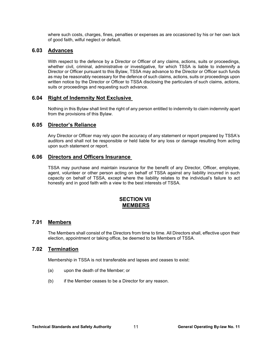where such costs, charges, fines, penalties or expenses as are occasioned by his or her own lack of good faith, wilful neglect or default.

### **6.03 Advances**

With respect to the defence by a Director or Officer of any claims, actions, suits or proceedings, whether civil, criminal, administrative or investigative, for which TSSA is liable to indemnify a Director or Officer pursuant to this Bylaw, TSSA may advance to the Director or Officer such funds as may be reasonably necessary for the defence of such claims, actions, suits or proceedings upon written notice by the Director or Officer to TSSA disclosing the particulars of such claims, actions, suits or proceedings and requesting such advance.

## **6.04 Right of Indemnity Not Exclusive**

Nothing in this Bylaw shall limit the right of any person entitled to indemnity to claim indemnity apart from the provisions of this Bylaw.

## **6.05 Director's Reliance**

Any Director or Officer may rely upon the accuracy of any statement or report prepared by TSSA's auditors and shall not be responsible or held liable for any loss or damage resulting from acting upon such statement or report.

### **6.06 Directors and Officers Insurance**

TSSA may purchase and maintain insurance for the benefit of any Director, Officer, employee, agent, volunteer or other person acting on behalf of TSSA against any liability incurred in such capacity on behalf of TSSA, except where the liability relates to the individual's failure to act honestly and in good faith with a view to the best interests of TSSA.

# **SECTION VII MEMBERS**

#### **7.01 Members**

The Members shall consist of the Directors from time to time. All Directors shall, effective upon their election, appointment or taking office, be deemed to be Members of TSSA.

### **7.02 Termination**

Membership in TSSA is not transferable and lapses and ceases to exist:

- (a) upon the death of the Member; or
- (b) if the Member ceases to be a Director for any reason.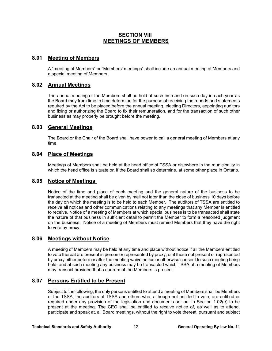# **SECTION VIII MEETINGS OF MEMBERS**

# **8.01 Meeting of Members**

A "meeting of Members" or "Members' meetings" shall include an annual meeting of Members and a special meeting of Members.

# **8.02 Annual Meetings**

The annual meeting of the Members shall be held at such time and on such day in each year as the Board may from time to time determine for the purpose of receiving the reports and statements required by the Act to be placed before the annual meeting, electing Directors, appointing auditors and fixing or authorizing the Board to fix their remuneration, and for the transaction of such other business as may properly be brought before the meeting.

# **8.03 General Meetings**

The Board or the Chair of the Board shall have power to call a general meeting of Members at any time.

### **8.04 Place of Meetings**

Meetings of Members shall be held at the head office of TSSA or elsewhere in the municipality in which the head office is situate or, if the Board shall so determine, at some other place in Ontario.

# **8.05 Notice of Meetings**

Notice of the time and place of each meeting and the general nature of the business to be transacted at the meeting shall be given by mail not later than the close of business 10 days before the day on which the meeting is to be held to each Member. The auditors of TSSA are entitled to receive all notices and other communications relating to any meetings that any Member is entitled to receive. Notice of a meeting of Members at which special business is to be transacted shall state the nature of that business in sufficient detail to permit the Member to form a reasoned judgment on the business. Notice of a meeting of Members must remind Members that they have the right to vote by proxy.

# **8.06 Meetings without Notice**

A meeting of Members may be held at any time and place without notice if all the Members entitled to vote thereat are present in person or represented by proxy, or if those not present or represented by proxy either before or after the meeting waive notice or otherwise consent to such meeting being held, and at such meeting any business may be transacted which TSSA at a meeting of Members may transact provided that a quorum of the Members is present.

# **8.07 Persons Entitled to be Present**

Subject to the following, the only persons entitled to attend a meeting of Members shall be Members of the TSSA, the auditors of TSSA and others who, although not entitled to vote, are entitled or required under any provision of the legislation and documents set out in Section 1.02(e) to be present at the meeting. The CEO shall be entitled to receive notice of, as well as to attend, participate and speak at, all Board meetings, without the right to vote thereat, pursuant and subject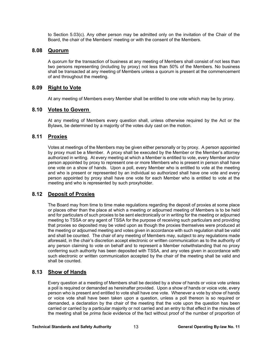to Section 5.03(c). Any other person may be admitted only on the invitation of the Chair of the Board, the chair of the Members' meeting or with the consent of the Members.

## **8.08 Quorum**

A quorum for the transaction of business at any meeting of Members shall consist of not less than two persons representing (including by proxy) not less than 50% of the Members. No business shall be transacted at any meeting of Members unless a quorum is present at the commencement of and throughout the meeting.

# **8.09 Right to Vote**

At any meeting of Members every Member shall be entitled to one vote which may be by proxy.

## **8.10 Votes to Govern**

At any meeting of Members every question shall, unless otherwise required by the Act or the Bylaws, be determined by a majority of the votes duly cast on the motion.

# **8.11 Proxies**

Votes at meetings of the Members may be given either personally or by proxy. A person appointed by proxy must be a Member. A proxy shall be executed by the Member or the Member's attorney authorized in writing. At every meeting at which a Member is entitled to vote, every Member and/or person appointed by proxy to represent one or more Members who is present in person shall have one vote on a show of hands. Upon a poll, every Member who is entitled to vote at the meeting and who is present or represented by an individual so authorized shall have one vote and every person appointed by proxy shall have one vote for each Member who is entitled to vote at the meeting and who is represented by such proxyholder.

# **8.12 Deposit of Proxies**

The Board may from time to time make regulations regarding the deposit of proxies at some place or places other than the place at which a meeting or adjourned meeting of Members is to be held and for particulars of such proxies to be sent electronically or in writing for the meeting or adjourned meeting to TSSA or any agent of TSSA for the purpose of receiving such particulars and providing that proxies so deposited may be voted upon as though the proxies themselves were produced at the meeting or adjourned meeting and votes given in accordance with such regulation shall be valid and shall be counted. The chair of any meeting of Members may, subject to any regulations made aforesaid, in the chair's discretion accept electronic or written communication as to the authority of any person claiming to vote on behalf and to represent a Member notwithstanding that no proxy conferring such authority has been deposited with TSSA, and any votes given in accordance with such electronic or written communication accepted by the chair of the meeting shall be valid and shall be counted.

# **8.13 Show of Hands**

Every question at a meeting of Members shall be decided by a show of hands or voice vote unless a poll is required or demanded as hereinafter provided. Upon a show of hands or voice vote, every person who is present and entitled to vote shall have one vote. Whenever a vote by show of hands or voice vote shall have been taken upon a question, unless a poll thereon is so required or demanded, a declaration by the chair of the meeting that the vote upon the question has been carried or carried by a particular majority or not carried and an entry to that effect in the minutes of the meeting shall be *prima facie* evidence of the fact without proof of the number of proportion of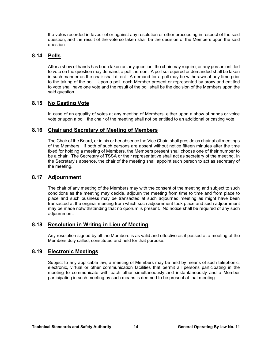the votes recorded in favour of or against any resolution or other proceeding in respect of the said question, and the result of the vote so taken shall be the decision of the Members upon the said question.

# **8.14 Polls**

After a show of hands has been taken on any question, the chair may require, or any person entitled to vote on the question may demand, a poll thereon. A poll so required or demanded shall be taken in such manner as the chair shall direct. A demand for a poll may be withdrawn at any time prior to the taking of the poll. Upon a poll, each Member present or represented by proxy and entitled to vote shall have one vote and the result of the poll shall be the decision of the Members upon the said question.

# **8.15 No Casting Vote**

In case of an equality of votes at any meeting of Members, either upon a show of hands or voice vote or upon a poll, the chair of the meeting shall not be entitled to an additional or casting vote.

# **8.16 Chair and Secretary of Meeting of Members**

The Chair of the Board, or in his or her absence the Vice Chair, shall preside as chair at all meetings of the Members. If both of such persons are absent without notice fifteen minutes after the time fixed for holding a meeting of Members, the Members present shall choose one of their number to be a chair. The Secretary of TSSA or their representative shall act as secretary of the meeting. In the Secretary's absence, the chair of the meeting shall appoint such person to act as secretary of the meeting.

# **8.17 Adjournment**

The chair of any meeting of the Members may with the consent of the meeting and subject to such conditions as the meeting may decide, adjourn the meeting from time to time and from place to place and such business may be transacted at such adjourned meeting as might have been transacted at the original meeting from which such adjournment took place and such adjournment may be made notwithstanding that no quorum is present. No notice shall be required of any such adjournment.

# **8.18 Resolution in Writing in Lieu of Meeting**

Any resolution signed by all the Members is as valid and effective as if passed at a meeting of the Members duly called, constituted and held for that purpose.

# **8.19 Electronic Meetings**

Subject to any applicable law, a meeting of Members may be held by means of such telephonic, electronic, virtual or other communication facilities that permit all persons participating in the meeting to communicate with each other simultaneously and instantaneously and a Member participating in such meeting by such means is deemed to be present at that meeting.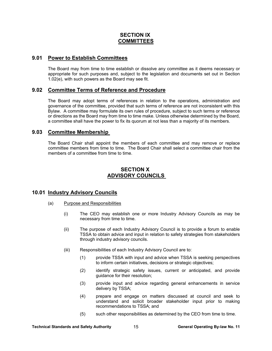# **SECTION IX COMMITTEES**

# **9.01 Power to Establish Committees**

The Board may from time to time establish or dissolve any committee as it deems necessary or appropriate for such purposes and, subject to the legislation and documents set out in Section 1.02(e), with such powers as the Board may see fit.

## **9.02 Committee Terms of Reference and Procedure**

The Board may adopt terms of references in relation to the operations, administration and governance of the committee, provided that such terms of reference are not inconsistent with this Bylaw. A committee may formulate its own rules of procedure, subject to such terms or reference or directions as the Board may from time to time make. Unless otherwise determined by the Board, a committee shall have the power to fix its quorum at not less than a majority of its members.

### **9.03 Committee Membership**

The Board Chair shall appoint the members of each committee and may remove or replace committee members from time to time. The Board Chair shall select a committee chair from the members of a committee from time to time.

# **SECTION X ADVISORY COUNCILS**

# **10.01 Industry Advisory Councils**

- (a) Purpose and Responsibilities
	- (i) The CEO may establish one or more Industry Advisory Councils as may be necessary from time to time.
	- (ii) The purpose of each Industry Advisory Council is to provide a forum to enable TSSA to obtain advice and input in relation to safety strategies from stakeholders through industry advisory councils.
	- (iii) Responsibilities of each Industry Advisory Council are to:
		- (1) provide TSSA with input and advice when TSSA is seeking perspectives to inform certain initiatives, decisions or strategic objectives;
		- (2) identify strategic safety issues, current or anticipated, and provide guidance for their resolution;
		- (3) provide input and advice regarding general enhancements in service delivery by TSSA;
		- (4) prepare and engage on matters discussed at council and seek to understand and solicit broader stakeholder input prior to making recommendations to TSSA; and
		- (5) such other responsibilities as determined by the CEO from time to time.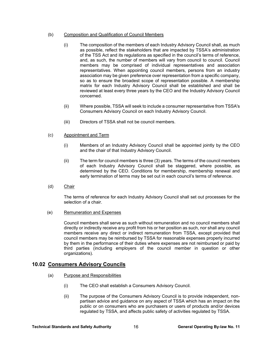#### (b) Composition and Qualification of Council Members

- (i) The composition of the members of each Industry Advisory Council shall, as much as possible, reflect the stakeholders that are impacted by TSSA's administration of the TSS Act and its regulations as specified in the council's terms of reference, and, as such, the number of members will vary from council to council. Council members may be comprised of individual representatives and association representatives. When appointing council members, persons from an industry association may be given preference over representation from a specific company, so as to ensure the broadest scope of representation possible. A membership matrix for each Industry Advisory Council shall be established and shall be reviewed at least every three years by the CEO and the Industry Advisory Council concerned.
- (ii) Where possible, TSSA will seek to include a consumer representative from TSSA's Consumers Advisory Council on each Industry Advisory Council.
- (iii) Directors of TSSA shall not be council members.

#### (c) Appointment and Term

- (i) Members of an Industry Advisory Council shall be appointed jointly by the CEO and the chair of that Industry Advisory Council.
- (ii) The term for council members is three (3) years. The terms of the council members of each Industry Advisory Council shall be staggered, where possible, as determined by the CEO. Conditions for membership, membership renewal and early termination of terms may be set out in each council's terms of reference.
- (d) Chair

The terms of reference for each Industry Advisory Council shall set out processes for the selection of a chair.

(e) Remuneration and Expenses

Council members shall serve as such without remuneration and no council members shall directly or indirectly receive any profit from his or her position as such, nor shall any council members receive any direct or indirect remuneration from TSSA, except provided that council members may be reimbursed by TSSA for reasonable expenses properly incurred by them in the performance of their duties where expenses are not reimbursed or paid by third parties (including employers of the council member in question or other organizations).

# **10.02 Consumers Advisory Councils**

- (a) Purpose and Responsibilities
	- (i) The CEO shall establish a Consumers Advisory Council.
	- (ii) The purpose of the Consumers Advisory Council is to provide independent, nonpartisan advice and guidance on any aspect of TSSA which has an impact on the public or on consumers who are purchasers or users of products and/or devices regulated by TSSA, and affects public safety of activities regulated by TSSA.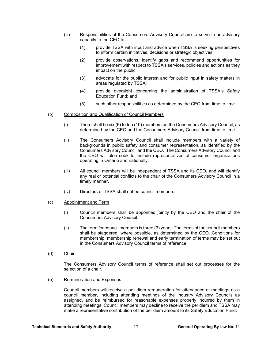- (iii) Responsibilities of the Consumers Advisory Council are to serve in an advisory capacity to the CEO to:
	- (1) provide TSSA with input and advice when TSSA is seeking perspectives to inform certain initiatives, decisions or strategic objectives;
	- (2) provide observations, identify gaps and recommend opportunities for improvement with respect to TSSA's services, policies and actions as they impact on the public;
	- (3) advocate for the public interest and for public input in safety matters in areas regulated by TSSA;
	- (4) provide oversight concerning the administration of TSSA's Safety Education Fund; and
	- (5) such other responsibilities as determined by the CEO from time to time.
- (b) Composition and Qualification of Council Members
	- (i) There shall be six (6) to ten (10) members on the Consumers Advisory Council, as determined by the CEO and the Consumers Advisory Council from time to time.
	- (ii) The Consumers Advisory Council shall include members with a variety of backgrounds in public safety and consumer representation, as identified by the Consumers Advisory Council and the CEO. The Consumers Advisory Council and the CEO will also seek to include representatives of consumer organizations operating in Ontario and nationally.
	- (iii) All council members will be independent of TSSA and its CEO, and will identify any real or potential conflicts to the chair of the Consumers Advisory Council in a timely manner.
	- (iv) Directors of TSSA shall not be council members.
- (c) Appointment and Term
	- (i) Council members shall be appointed jointly by the CEO and the chair of the Consumers Advisory Council.
	- (ii) The term for council members is three (3) years. The terms of the council members shall be staggered, where possible, as determined by the CEO. Conditions for membership, membership renewal and early termination of terms may be set out in the Consumers Advisory Council terms of reference.
- (d) Chair

The Consumers Advisory Council terms of reference shall set out processes for the selection of a chair.

(e) Remuneration and Expenses

Council members will receive a per diem remuneration for attendance at meetings as a council member, including attending meetings of the Industry Advisory Councils as assigned, and be reimbursed for reasonable expenses properly incurred by them in attending meetings. Council members may decline to receive the per diem and TSSA may make a representative contribution of the per diem amount to its Safety Education Fund.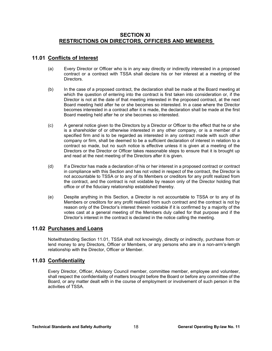# **SECTION XI RESTRICTIONS ON DIRECTORS, OFFICERS AND MEMBERS**

# **11.01 Conflicts of Interest**

- (a) Every Director or Officer who is in any way directly or indirectly interested in a proposed contract or a contract with TSSA shall declare his or her interest at a meeting of the **Directors**
- (b) In the case of a proposed contract, the declaration shall be made at the Board meeting at which the question of entering into the contract is first taken into consideration or, if the Director is not at the date of that meeting interested in the proposed contract, at the next Board meeting held after he or she becomes so interested. In a case where the Director becomes interested in a contract after it is made, the declaration shall be made at the first Board meeting held after he or she becomes so interested.
- (c) A general notice given to the Directors by a Director or Officer to the effect that he or she is a shareholder of or otherwise interested in any other company, or is a member of a specified firm and is to be regarded as interested in any contract made with such other company or firm, shall be deemed to be a sufficient declaration of interest in relation to a contract so made, but no such notice is effective unless it is given at a meeting of the Directors or the Director or Officer takes reasonable steps to ensure that it is brought up and read at the next meeting of the Directors after it is given.
- (d) If a Director has made a declaration of his or her interest in a proposed contract or contract in compliance with this Section and has not voted in respect of the contract, the Director is not accountable to TSSA or to any of its Members or creditors for any profit realized from the contract, and the contract is not voidable by reason only of the Director holding that office or of the fiduciary relationship established thereby.
- (e) Despite anything in this Section, a Director is not accountable to TSSA or to any of its Members or creditors for any profit realized from such contract and the contract is not by reason only of the Director's interest therein voidable if it is confirmed by a majority of the votes cast at a general meeting of the Members duly called for that purpose and if the Director's interest in the contract is declared in the notice calling the meeting.

# **11.02 Purchases and Loans**

Notwithstanding Section 11.01, TSSA shall not knowingly, directly or indirectly, purchase from or lend money to any Directors, Officer or Members, or any persons who are in a non-arm's-length relationship with the Director, Officer or Member.

# **11.03 Confidentiality**

Every Director, Officer, Advisory Council member, committee member, employee and volunteer, shall respect the confidentiality of matters brought before the Board or before any committee of the Board, or any matter dealt with in the course of employment or involvement of such person in the activities of TSSA.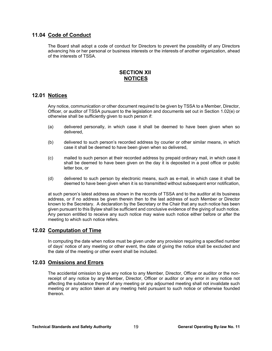# **11.04 Code of Conduct**

The Board shall adopt a code of conduct for Directors to prevent the possibility of any Directors advancing his or her personal or business interests or the interests of another organization, ahead of the interests of TSSA.

# **SECTION XII NOTICES**

# **12.01 Notices**

Any notice, communication or other document required to be given by TSSA to a Member, Director, Officer, or auditor of TSSA pursuant to the legislation and documents set out in Section 1.02(e) or otherwise shall be sufficiently given to such person if:

- (a) delivered personally, in which case it shall be deemed to have been given when so delivered,
- (b) delivered to such person's recorded address by courier or other similar means, in which case it shall be deemed to have been given when so delivered,
- (c) mailed to such person at their recorded address by prepaid ordinary mail, in which case it shall be deemed to have been given on the day it is deposited in a post office or public letter box, or
- (d) delivered to such person by electronic means, such as e-mail, in which case it shall be deemed to have been given when it is so transmitted without subsequent error notification,

at such person's latest address as shown in the records of TSSA and to the auditor at its business address, or if no address be given therein then to the last address of such Member or Director known to the Secretary.A declaration by the Secretary or the Chair that any such notice has been given pursuant to this Bylaw shall be sufficient and conclusive evidence of the giving of such notice. Any person entitled to receive any such notice may waive such notice either before or after the meeting to which such notice refers.

#### **12.02 Computation of Time**

In computing the date when notice must be given under any provision requiring a specified number of days' notice of any meeting or other event, the date of giving the notice shall be excluded and the date of the meeting or other event shall be included.

#### **12.03 Omissions and Errors**

The accidental omission to give any notice to any Member, Director, Officer or auditor or the nonreceipt of any notice by any Member, Director, Officer or auditor or any error in any notice not affecting the substance thereof of any meeting or any adjourned meeting shall not invalidate such meeting or any action taken at any meeting held pursuant to such notice or otherwise founded thereon.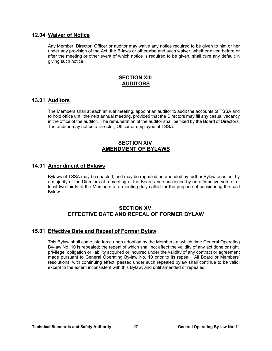## **12.04 Waiver of Notice**

Any Member, Director, Officer or auditor may waive any notice required to be given to him or her under any provision of the Act, the B-laws or otherwise and such waiver, whether given before or after the meeting or other event of which notice is required to be given, shall cure any default in giving such notice.

# **SECTION XIII AUDITORS**

# **13.01 Auditors**

The Members shall at each annual meeting, appoint an auditor to audit the accounts of TSSA and to hold office until the next annual meeting, provided that the Directors may fill any casual vacancy in the office of the auditor. The remuneration of the auditor shall be fixed by the Board of Directors. The auditor may not be a Director, Officer or employee of TSSA.

# **SECTION XIV AMENDMENT OF BYLAWS**

# **14.01 Amendment of Bylaws**

Bylaws of TSSA may be enacted, and may be repealed or amended by further Bylaw enacted, by a majority of the Directors at a meeting of the Board and sanctioned by an affirmative vote of at least two-thirds of the Members at a meeting duly called for the purpose of considering the said Bylaw.

# **SECTION XV EFFECTIVE DATE AND REPEAL OF FORMER BYLAW**

# **15.01 Effective Date and Repeal of Former Bylaw**

This Bylaw shall come into force upon adoption by the Members at which time General Operating By-law No. 10 is repealed; the repeal of which shall not affect the validity of any act done or right, privilege, obligation or liability acquired or incurred under the validity of any contract or agreement made pursuant to General Operating By-law No. 10 prior to its repeal. All Board or Members' resolutions, with continuing effect, passed under such repealed bylaw shall continue to be valid, except to the extent inconsistent with this Bylaw, and until amended or repealed.